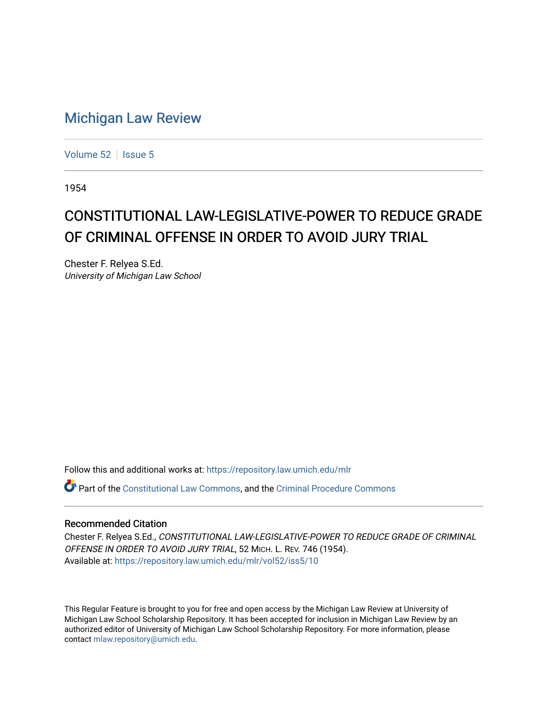## [Michigan Law Review](https://repository.law.umich.edu/mlr)

[Volume 52](https://repository.law.umich.edu/mlr/vol52) | [Issue 5](https://repository.law.umich.edu/mlr/vol52/iss5)

1954

## CONSTITUTIONAL LAW-LEGISLATIVE-POWER TO REDUCE GRADE OF CRIMINAL OFFENSE IN ORDER TO AVOID JURY TRIAL

Chester F. Relyea S.Ed. University of Michigan Law School

Follow this and additional works at: [https://repository.law.umich.edu/mlr](https://repository.law.umich.edu/mlr?utm_source=repository.law.umich.edu%2Fmlr%2Fvol52%2Fiss5%2F10&utm_medium=PDF&utm_campaign=PDFCoverPages) 

Part of the [Constitutional Law Commons,](http://network.bepress.com/hgg/discipline/589?utm_source=repository.law.umich.edu%2Fmlr%2Fvol52%2Fiss5%2F10&utm_medium=PDF&utm_campaign=PDFCoverPages) and the [Criminal Procedure Commons](http://network.bepress.com/hgg/discipline/1073?utm_source=repository.law.umich.edu%2Fmlr%2Fvol52%2Fiss5%2F10&utm_medium=PDF&utm_campaign=PDFCoverPages)

## Recommended Citation

Chester F. Relyea S.Ed., CONSTITUTIONAL LAW-LEGISLATIVE-POWER TO REDUCE GRADE OF CRIMINAL OFFENSE IN ORDER TO AVOID JURY TRIAL, 52 MICH. L. REV. 746 (1954). Available at: [https://repository.law.umich.edu/mlr/vol52/iss5/10](https://repository.law.umich.edu/mlr/vol52/iss5/10?utm_source=repository.law.umich.edu%2Fmlr%2Fvol52%2Fiss5%2F10&utm_medium=PDF&utm_campaign=PDFCoverPages) 

This Regular Feature is brought to you for free and open access by the Michigan Law Review at University of Michigan Law School Scholarship Repository. It has been accepted for inclusion in Michigan Law Review by an authorized editor of University of Michigan Law School Scholarship Repository. For more information, please contact [mlaw.repository@umich.edu](mailto:mlaw.repository@umich.edu).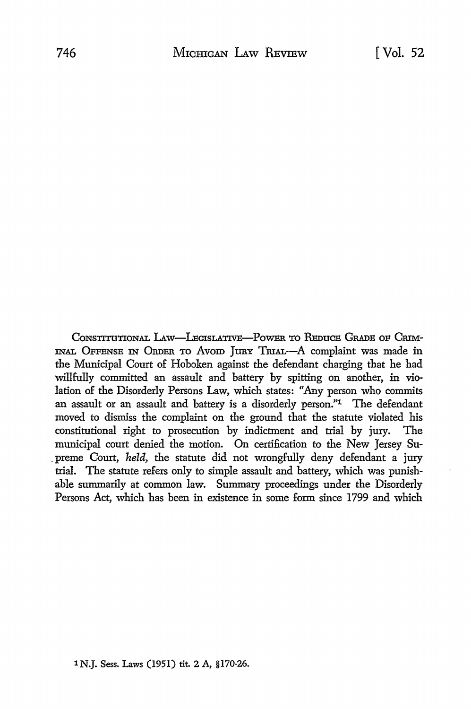CONSTITUTIONAL LAW-LEGISLATIVE-POWER TO REDUCE GRADE OF CRIM-INAL OFFENSB IN ORDER TO Avom JURY TRIAL-A complaint was made in the Municipal Court of Hoboken against the defendant charging that he had willfully committed an assault and battery by spitting on another, in violation of the Disorderly Persons Law, which states: "Any person who commits an assault or an assault and battery is a disorderly person."1 The defendant moved to dismiss the complaint on the ground that the statute violated his constitutional right to prosecution by indictment and trial by jury. The municipal court denied the motion. On certification to the New Jersey Su- . preme Court, *held,* the statute did not wrongfully deny defendant a jury trial. The statute refers only to simple assault and battery, which was punishable summarily at common law. Summary proceedings under the Disorderly Persons Act, which has been in existence in some form since 1799 and which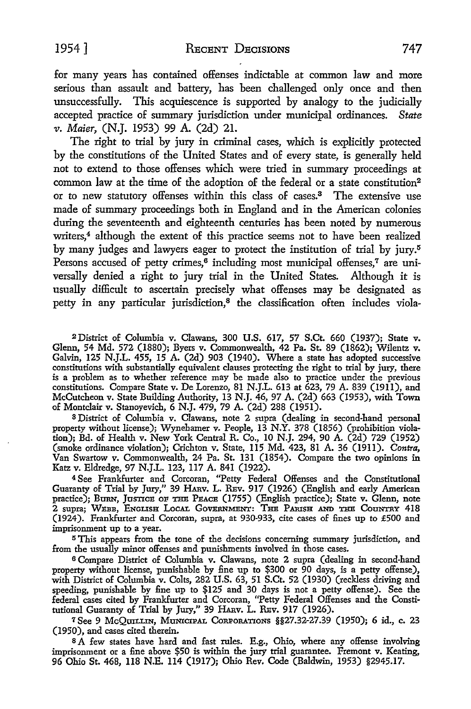for many years has contained offenses indictable at common law and more serious than assault and battery, has been challenged only once and then unsuccessfully. This acquiescence is supported by analogy to the judicially accepted practice of summary jurisdiction under municipal ordinances. *State*  11. *Maier,* (N.J. 1953) 99 A. (2d) 21.

The right to trial by jury in criminal cases, which is explicitly protected by the constitutions of the United States and of every state, is generally held not to extend to those offenses which were tried in summary proceedings at common law at the time of the adoption of the federal or a state constitution<sup>2</sup> or to new statutory offenses within this class of cases.3 The extensive use made of summary proceedings both in England and in the American colonies during the seventeenth and eighteenth centuries has been noted by numerous writers,<sup>4</sup> although the extent of this practice seems not to have been realized by many judges and lawyers eager to protect the institution of trial by jury.<sup>5</sup> Persons accused of petty crimes,<sup>6</sup> including most municipal offenses,<sup>7</sup> are universally denied a right to jury trial in the United States. Although it is usually difficult to ascertain precisely what offenses may be designated as petty in any particular jurisdiction,<sup>8</sup> the classification often includes viola-

2District of Columbia v. Clawans, 300 U.S. 617, 57 S.Ct. 660 (1937); State v. Glenn, 54 Md. 572 (1880); Byers v. Commonwealth, 42 Pa. St. 89 (1862); Wilentz v. Galvin, 125 N.J.L. 455, 15 A. (2d) 903 (1940). Where a state has adopted successive constitutions with substantially equivalent clauses protecting the right to trial by jury, there is a problem as to whether reference may be made also to practice under the previous constitutions. Compare State v. De Lorenzo, 81 N.J.L. 613 at 623, 79 A. 839 (1911), and McCutcheon v. State Building Authority, 13 N.J. 46, 97 A. (2d) 663 (1953), with Town of Montclair v. Stanoyevich, 6 N.J. 479, 79 A. (2d) 288 (1951).

<sup>3</sup>District of Columbia v. Clawans, note 2 supra (dealing in second-hand personal property without license); Wynehamer v. People, 13 N.Y. 378 (1856) (prohibition violation); Bd. of Health v. New York Central R. Co., IO N.J. 294, 90 A. (2d) 729 (1952) (smoke ordinance violation); Crichton v. State, 115 Md. 423, 81 A. 36 (1911). *Contra,*  Van Swartow v. Commonwealth, 24 Pa. St. 131 (1854). Compare the two opinions in Katz v. Eldredge, 97 N.J.L. 123, 117 A. 841 (1922).

4 See Frankfurter and Corcoran, "Petty Federal Offenses and the Constitutional Guaranty of Trial by Jury," 39 HARv. L. REv. 917 (1926) (English and early American practice); Burn, Justice OF THE PEACE (1755) (English practice); State v. Glenn, note 2 supra; WEBB, ENGLISH LOCAL GOVERNMENT: THE PARISH AND THE COUNTRY 418 (1924). Frankfurter and Corcoran, supra, at 930-933, cite cases of fines up to £500 and imprisonment up to a year.

<sup>5</sup>This appears from the tone of the decisions concerning summary jurisdiction, and from the usually minor offenses and punishments involved in those cases.

<sup>6</sup>Compare District of Columbia v. Clawans, note 2 supra (dealing in second-hand property without license, punishable by fine up to \$300 or 90 days, is a petty offense), with District of Columbia v. Colts, 282 **U.S.** 63, 51 S.Ct. 52 (1930) (reckless driving and speeding, punishable by fine up to \$125 and 30 days is not a petty offense). See the federal cases cited by Frankfurter and Corcoran, "Petty Federal Offenses and the Constitutional Guaranty of Trial by Jury," 39 HARv. L. REv. 917 (1926).

<sup>7</sup>See 9 McQUILLIN, MUNICIPAL CoRPORATIONS §§27.32-27.39 (1950); 6 id., c. 23 (1950), and cases cited therein.

<sup>8</sup>A few states have hard and fast rules. E.g., Ohio, where any offense involving imprisonment or a fine above \$50 is within the jury trial guarantee. Fremont v. Keating, 96 Ohio St. 468, 118 N.E. 114 (1917); Ohio Rev. Code (Baldwin, 1953) §2945.17.